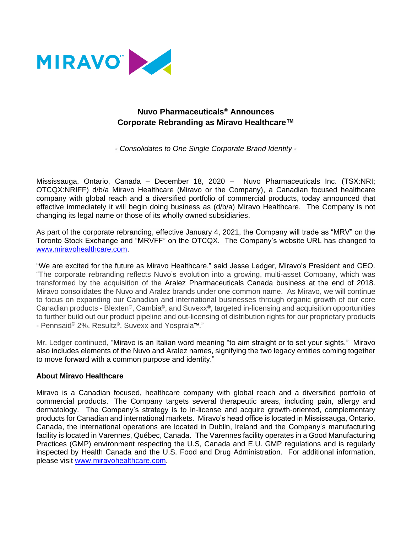

## **Nuvo Pharmaceuticals® Announces Corporate Rebranding as Miravo Healthcare™**

*- Consolidates to One Single Corporate Brand Identity -*

Mississauga, Ontario, Canada – December 18, 2020 – Nuvo Pharmaceuticals Inc. (TSX:NRI; OTCQX:NRIFF) d/b/a Miravo Healthcare (Miravo or the Company), a Canadian focused healthcare company with global reach and a diversified portfolio of commercial products, today announced that effective immediately it will begin doing business as (d/b/a) Miravo Healthcare. The Company is not changing its legal name or those of its wholly owned subsidiaries.

As part of the corporate rebranding, effective January 4, 2021, the Company will trade as "MRV" on the Toronto Stock Exchange and "MRVFF" on the OTCQX. The Company's website URL has changed to [www.miravohealthcare.com.](http://www.miravohealthcare.com/)

"We are excited for the future as Miravo Healthcare," said Jesse Ledger, Miravo's President and CEO. "The corporate rebranding reflects Nuvo's evolution into a growing, multi-asset Company, which was transformed by the acquisition of the Aralez Pharmaceuticals Canada business at the end of 2018. Miravo consolidates the Nuvo and Aralez brands under one common name. As Miravo, we will continue to focus on expanding our Canadian and international businesses through organic growth of our core Canadian products - Blexten®, Cambia®, and Suvexx®, targeted in-licensing and acquisition opportunities to further build out our product pipeline and out-licensing of distribution rights for our proprietary products - Pennsaid® 2%, Resultz®, Suvexx and Yosprala™."

Mr. Ledger continued, "Miravo is an Italian word meaning "to aim straight or to set your sights." Miravo also includes elements of the Nuvo and Aralez names, signifying the two legacy entities coming together to move forward with a common purpose and identity."

## **About Miravo Healthcare**

Miravo is a Canadian focused, healthcare company with global reach and a diversified portfolio of commercial products. The Company targets several therapeutic areas, including pain, allergy and dermatology. The Company's strategy is to in-license and acquire growth-oriented, complementary products for Canadian and international markets. Miravo's head office is located in Mississauga, Ontario, Canada, the international operations are located in Dublin, Ireland and the Company's manufacturing facility is located in Varennes, Québec, Canada. The Varennes facility operates in a Good Manufacturing Practices (GMP) environment respecting the U.S, Canada and E.U. GMP regulations and is regularly inspected by Health Canada and the U.S. Food and Drug Administration. For additional information, please visit [www.miravohealthcare.com.](http://www.miravohealthcare.com/)